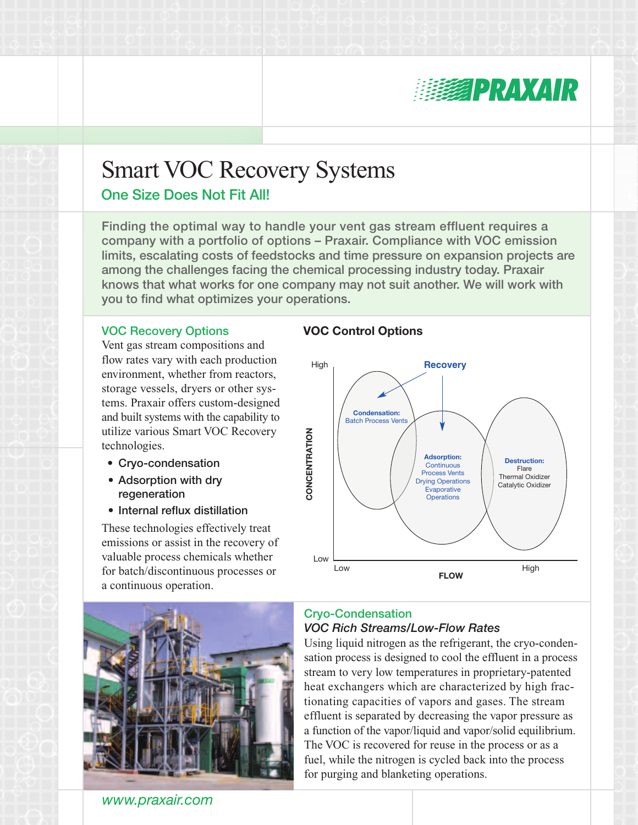

# Smart VOC Recovery Systems

## One Size Does Not Fit All!

Finding the optimal way to handle your vent gas stream effluent requires a company with a portfolio of options – Praxair. Compliance with VOC emission limits, escalating costs of feedstocks and time pressure on expansion projects are among the challenges facing the chemical processing industry today. Praxair knows that what works for one company may not suit another. We will work with you to find what optimizes your operations.

#### VOC Recovery Options

Vent gas stream compositions and flow rates vary with each production environment, whether from reactors, storage vessels, dryers or other systems. Praxair offers custom-designed and built systems with the capability to utilize various Smart VOC Recovery technologies.

- Cryo-condensation
- Adsorption with dry regeneration
- Internal reflux distillation

These technologies effectively treat emissions or assist in the recovery of valuable process chemicals whether for batch/discontinuous processes or a continuous operation.

#### **VOC Control Options**





# *www.praxair.com*

#### Cryo-Condensation *VOC Rich Streams/Low-Flow Rates*

Using liquid nitrogen as the refrigerant, the cryo-condensation process is designed to cool the effluent in a process stream to very low temperatures in proprietary-patented heat exchangers which are characterized by high fractionating capacities of vapors and gases. The stream effluent is separated by decreasing the vapor pressure as a function of the vapor/liquid and vapor/solid equilibrium. The VOC is recovered for reuse in the process or as a fuel, while the nitrogen is cycled back into the process for purging and blanketing operations.